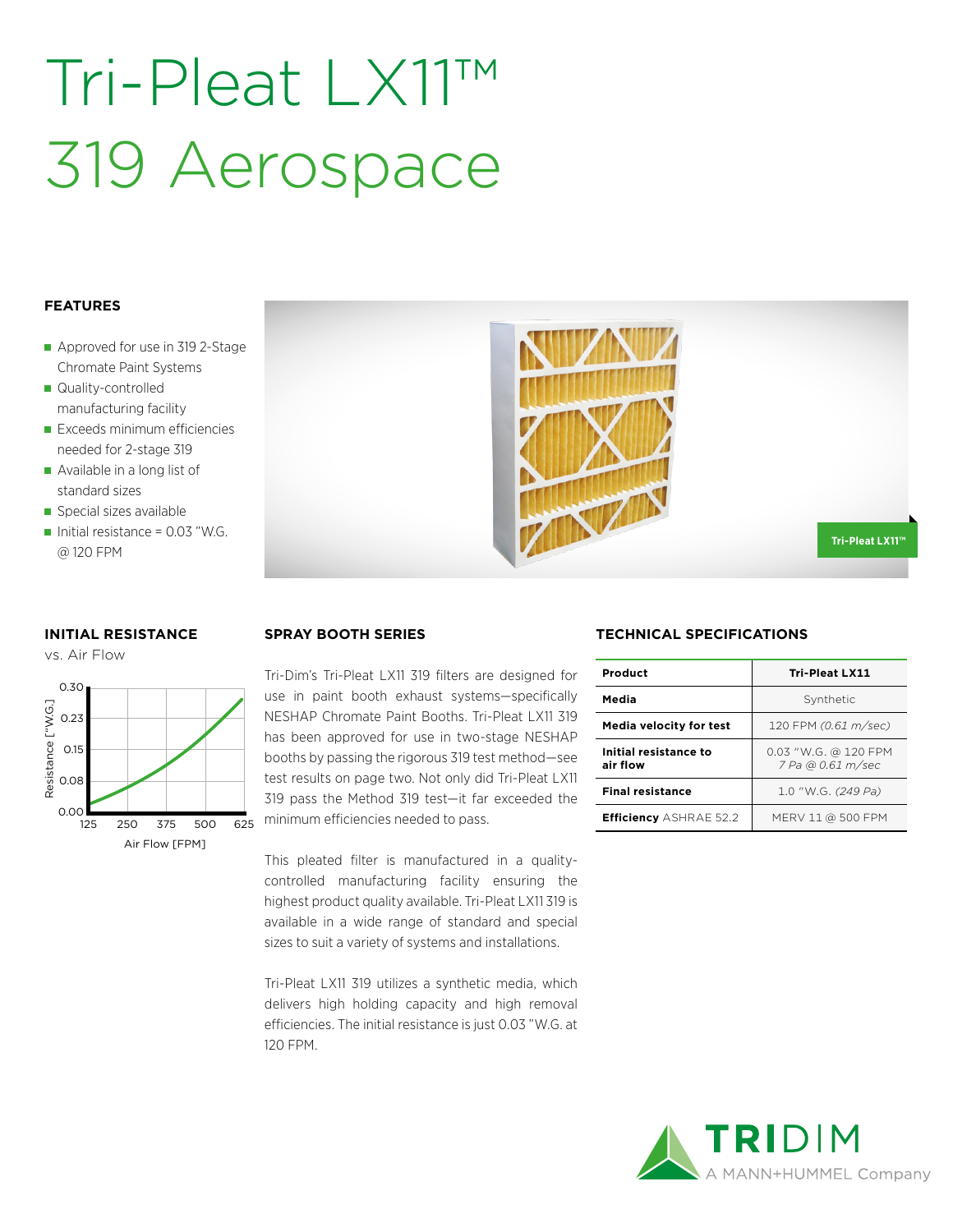# Tri-Pleat LX11™ 319 Aerospace

### **FEATURES**

- Approved for use in 319 2-Stage Chromate Paint Systems
- Quality-controlled manufacturing facility
- **Exceeds minimum efficiencies** needed for 2-stage 319
- Available in a long list of standard sizes
- Special sizes available
- Initial resistance =  $0.03$  "W.G. @ 120 FPM

### **INITIAL RESISTANCE**





Tri-Dim's Tri-Pleat LX11 319 filters are designed for use in paint booth exhaust systems—specifically NESHAP Chromate Paint Booths. Tri-Pleat LX11 319 has been approved for use in two-stage NESHAP booths by passing the rigorous 319 test method—see test results on page two. Not only did Tri-Pleat LX11 319 pass the Method 319 test—it far exceeded the minimum efficiencies needed to pass.

This pleated filter is manufactured in a qualitycontrolled manufacturing facility ensuring the highest product quality available. Tri-Pleat LX11 319 is available in a wide range of standard and special sizes to suit a variety of systems and installations.

Tri-Pleat LX11 319 utilizes a synthetic media, which delivers high holding capacity and high removal efficiencies. The initial resistance is just 0.03 "W.G. at 120 FPM.

## **SPRAY BOOTH SERIES TECHNICAL SPECIFICATIONS**

| Product                           | <b>Tri-Pleat LX11</b>                     |  |  |
|-----------------------------------|-------------------------------------------|--|--|
| Media                             | Synthetic                                 |  |  |
| <b>Media velocity for test</b>    | 120 FPM (0.61 m/sec)                      |  |  |
| Initial resistance to<br>air flow | 0.03 "W.G. @ 120 FPM<br>7 Pa @ 0.61 m/sec |  |  |
| <b>Final resistance</b>           | 1.0 "W.G. (249 Pa)                        |  |  |
| <b>Efficiency ASHRAE 52.2</b>     | MERV 11 @ 500 FPM                         |  |  |